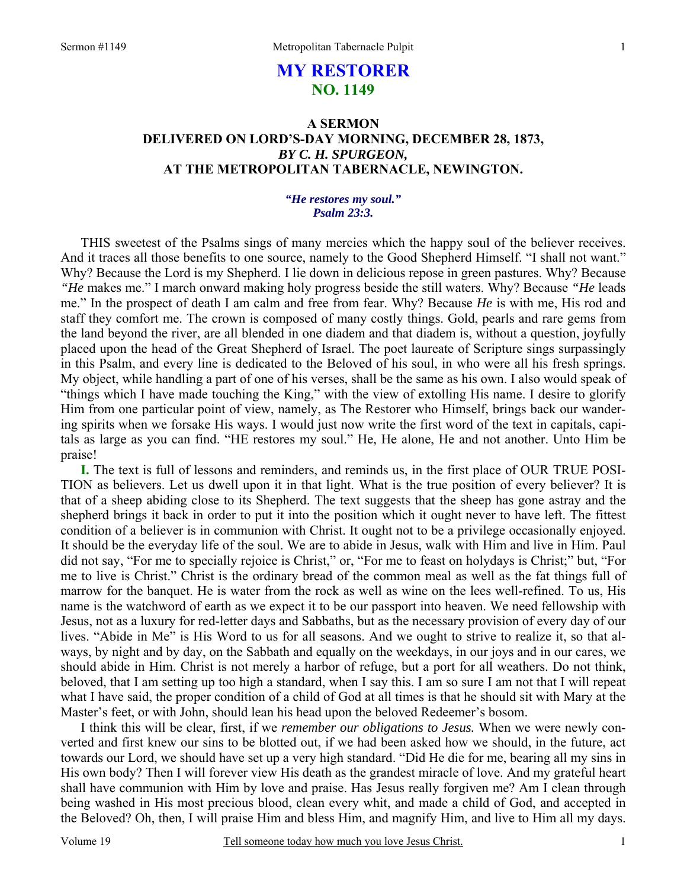# **MY RESTORER NO. 1149**

# **A SERMON DELIVERED ON LORD'S-DAY MORNING, DECEMBER 28, 1873,**  *BY C. H. SPURGEON,*  **AT THE METROPOLITAN TABERNACLE, NEWINGTON.**

### *"He restores my soul." Psalm 23:3.*

THIS sweetest of the Psalms sings of many mercies which the happy soul of the believer receives. And it traces all those benefits to one source, namely to the Good Shepherd Himself. "I shall not want." Why? Because the Lord is my Shepherd. I lie down in delicious repose in green pastures. Why? Because *"He* makes me." I march onward making holy progress beside the still waters. Why? Because *"He* leads me." In the prospect of death I am calm and free from fear. Why? Because *He* is with me, His rod and staff they comfort me. The crown is composed of many costly things. Gold, pearls and rare gems from the land beyond the river, are all blended in one diadem and that diadem is, without a question, joyfully placed upon the head of the Great Shepherd of Israel. The poet laureate of Scripture sings surpassingly in this Psalm, and every line is dedicated to the Beloved of his soul, in who were all his fresh springs. My object, while handling a part of one of his verses, shall be the same as his own. I also would speak of "things which I have made touching the King," with the view of extolling His name. I desire to glorify Him from one particular point of view, namely, as The Restorer who Himself, brings back our wandering spirits when we forsake His ways. I would just now write the first word of the text in capitals, capitals as large as you can find. "HE restores my soul." He, He alone, He and not another. Unto Him be praise!

**I.** The text is full of lessons and reminders, and reminds us, in the first place of OUR TRUE POSI-TION as believers. Let us dwell upon it in that light. What is the true position of every believer? It is that of a sheep abiding close to its Shepherd. The text suggests that the sheep has gone astray and the shepherd brings it back in order to put it into the position which it ought never to have left. The fittest condition of a believer is in communion with Christ. It ought not to be a privilege occasionally enjoyed. It should be the everyday life of the soul. We are to abide in Jesus, walk with Him and live in Him. Paul did not say, "For me to specially rejoice is Christ," or, "For me to feast on holydays is Christ;" but, "For me to live is Christ." Christ is the ordinary bread of the common meal as well as the fat things full of marrow for the banquet. He is water from the rock as well as wine on the lees well-refined. To us, His name is the watchword of earth as we expect it to be our passport into heaven. We need fellowship with Jesus, not as a luxury for red-letter days and Sabbaths, but as the necessary provision of every day of our lives. "Abide in Me" is His Word to us for all seasons. And we ought to strive to realize it, so that always, by night and by day, on the Sabbath and equally on the weekdays, in our joys and in our cares, we should abide in Him. Christ is not merely a harbor of refuge, but a port for all weathers. Do not think, beloved, that I am setting up too high a standard, when I say this. I am so sure I am not that I will repeat what I have said, the proper condition of a child of God at all times is that he should sit with Mary at the Master's feet, or with John, should lean his head upon the beloved Redeemer's bosom.

I think this will be clear, first, if we *remember our obligations to Jesus.* When we were newly converted and first knew our sins to be blotted out, if we had been asked how we should, in the future, act towards our Lord, we should have set up a very high standard. "Did He die for me, bearing all my sins in His own body? Then I will forever view His death as the grandest miracle of love. And my grateful heart shall have communion with Him by love and praise. Has Jesus really forgiven me? Am I clean through being washed in His most precious blood, clean every whit, and made a child of God, and accepted in the Beloved? Oh, then, I will praise Him and bless Him, and magnify Him, and live to Him all my days.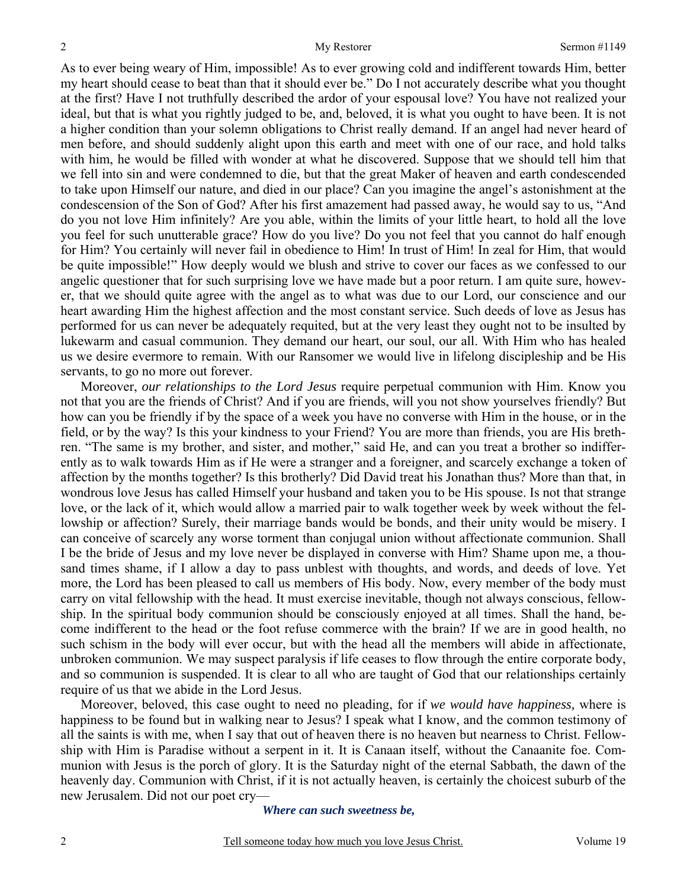As to ever being weary of Him, impossible! As to ever growing cold and indifferent towards Him, better my heart should cease to beat than that it should ever be." Do I not accurately describe what you thought at the first? Have I not truthfully described the ardor of your espousal love? You have not realized your ideal, but that is what you rightly judged to be, and, beloved, it is what you ought to have been. It is not a higher condition than your solemn obligations to Christ really demand. If an angel had never heard of men before, and should suddenly alight upon this earth and meet with one of our race, and hold talks with him, he would be filled with wonder at what he discovered. Suppose that we should tell him that we fell into sin and were condemned to die, but that the great Maker of heaven and earth condescended to take upon Himself our nature, and died in our place? Can you imagine the angel's astonishment at the condescension of the Son of God? After his first amazement had passed away, he would say to us, "And do you not love Him infinitely? Are you able, within the limits of your little heart, to hold all the love you feel for such unutterable grace? How do you live? Do you not feel that you cannot do half enough for Him? You certainly will never fail in obedience to Him! In trust of Him! In zeal for Him, that would be quite impossible!" How deeply would we blush and strive to cover our faces as we confessed to our angelic questioner that for such surprising love we have made but a poor return. I am quite sure, however, that we should quite agree with the angel as to what was due to our Lord, our conscience and our heart awarding Him the highest affection and the most constant service. Such deeds of love as Jesus has performed for us can never be adequately requited, but at the very least they ought not to be insulted by lukewarm and casual communion. They demand our heart, our soul, our all. With Him who has healed us we desire evermore to remain. With our Ransomer we would live in lifelong discipleship and be His servants, to go no more out forever.

Moreover, *our relationships to the Lord Jesus* require perpetual communion with Him. Know you not that you are the friends of Christ? And if you are friends, will you not show yourselves friendly? But how can you be friendly if by the space of a week you have no converse with Him in the house, or in the field, or by the way? Is this your kindness to your Friend? You are more than friends, you are His brethren. "The same is my brother, and sister, and mother," said He, and can you treat a brother so indifferently as to walk towards Him as if He were a stranger and a foreigner, and scarcely exchange a token of affection by the months together? Is this brotherly? Did David treat his Jonathan thus? More than that, in wondrous love Jesus has called Himself your husband and taken you to be His spouse. Is not that strange love, or the lack of it, which would allow a married pair to walk together week by week without the fellowship or affection? Surely, their marriage bands would be bonds, and their unity would be misery. I can conceive of scarcely any worse torment than conjugal union without affectionate communion. Shall I be the bride of Jesus and my love never be displayed in converse with Him? Shame upon me, a thousand times shame, if I allow a day to pass unblest with thoughts, and words, and deeds of love. Yet more, the Lord has been pleased to call us members of His body. Now, every member of the body must carry on vital fellowship with the head. It must exercise inevitable, though not always conscious, fellowship. In the spiritual body communion should be consciously enjoyed at all times. Shall the hand, become indifferent to the head or the foot refuse commerce with the brain? If we are in good health, no such schism in the body will ever occur, but with the head all the members will abide in affectionate, unbroken communion. We may suspect paralysis if life ceases to flow through the entire corporate body, and so communion is suspended. It is clear to all who are taught of God that our relationships certainly require of us that we abide in the Lord Jesus.

Moreover, beloved, this case ought to need no pleading, for if *we would have happiness,* where is happiness to be found but in walking near to Jesus? I speak what I know, and the common testimony of all the saints is with me, when I say that out of heaven there is no heaven but nearness to Christ. Fellowship with Him is Paradise without a serpent in it. It is Canaan itself, without the Canaanite foe. Communion with Jesus is the porch of glory. It is the Saturday night of the eternal Sabbath, the dawn of the heavenly day. Communion with Christ, if it is not actually heaven, is certainly the choicest suburb of the new Jerusalem. Did not our poet cry—

### *Where can such sweetness be,*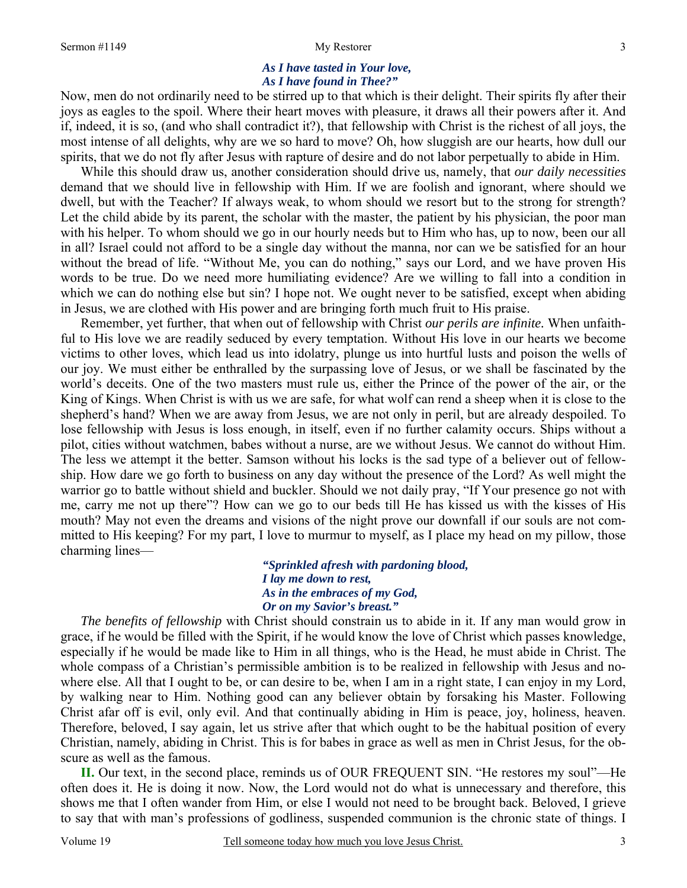### *As I have tasted in Your love, As I have found in Thee?"*

Now, men do not ordinarily need to be stirred up to that which is their delight. Their spirits fly after their joys as eagles to the spoil. Where their heart moves with pleasure, it draws all their powers after it. And if, indeed, it is so, (and who shall contradict it?), that fellowship with Christ is the richest of all joys, the most intense of all delights, why are we so hard to move? Oh, how sluggish are our hearts, how dull our spirits, that we do not fly after Jesus with rapture of desire and do not labor perpetually to abide in Him.

While this should draw us, another consideration should drive us, namely, that *our daily necessities* demand that we should live in fellowship with Him. If we are foolish and ignorant, where should we dwell, but with the Teacher? If always weak, to whom should we resort but to the strong for strength? Let the child abide by its parent, the scholar with the master, the patient by his physician, the poor man with his helper. To whom should we go in our hourly needs but to Him who has, up to now, been our all in all? Israel could not afford to be a single day without the manna, nor can we be satisfied for an hour without the bread of life. "Without Me, you can do nothing," says our Lord, and we have proven His words to be true. Do we need more humiliating evidence? Are we willing to fall into a condition in which we can do nothing else but sin? I hope not. We ought never to be satisfied, except when abiding in Jesus, we are clothed with His power and are bringing forth much fruit to His praise.

Remember, yet further, that when out of fellowship with Christ *our perils are infinite.* When unfaithful to His love we are readily seduced by every temptation. Without His love in our hearts we become victims to other loves, which lead us into idolatry, plunge us into hurtful lusts and poison the wells of our joy. We must either be enthralled by the surpassing love of Jesus, or we shall be fascinated by the world's deceits. One of the two masters must rule us, either the Prince of the power of the air, or the King of Kings. When Christ is with us we are safe, for what wolf can rend a sheep when it is close to the shepherd's hand? When we are away from Jesus, we are not only in peril, but are already despoiled. To lose fellowship with Jesus is loss enough, in itself, even if no further calamity occurs. Ships without a pilot, cities without watchmen, babes without a nurse, are we without Jesus. We cannot do without Him. The less we attempt it the better. Samson without his locks is the sad type of a believer out of fellowship. How dare we go forth to business on any day without the presence of the Lord? As well might the warrior go to battle without shield and buckler. Should we not daily pray, "If Your presence go not with me, carry me not up there"? How can we go to our beds till He has kissed us with the kisses of His mouth? May not even the dreams and visions of the night prove our downfall if our souls are not committed to His keeping? For my part, I love to murmur to myself, as I place my head on my pillow, those charming lines—

> *"Sprinkled afresh with pardoning blood, I lay me down to rest, As in the embraces of my God, Or on my Savior's breast."*

*The benefits of fellowship* with Christ should constrain us to abide in it. If any man would grow in grace, if he would be filled with the Spirit, if he would know the love of Christ which passes knowledge, especially if he would be made like to Him in all things, who is the Head, he must abide in Christ. The whole compass of a Christian's permissible ambition is to be realized in fellowship with Jesus and nowhere else. All that I ought to be, or can desire to be, when I am in a right state, I can enjoy in my Lord, by walking near to Him. Nothing good can any believer obtain by forsaking his Master. Following Christ afar off is evil, only evil. And that continually abiding in Him is peace, joy, holiness, heaven. Therefore, beloved, I say again, let us strive after that which ought to be the habitual position of every Christian, namely, abiding in Christ. This is for babes in grace as well as men in Christ Jesus, for the obscure as well as the famous.

**II.** Our text, in the second place, reminds us of OUR FREQUENT SIN. "He restores my soul"—He often does it. He is doing it now. Now, the Lord would not do what is unnecessary and therefore, this shows me that I often wander from Him, or else I would not need to be brought back. Beloved, I grieve to say that with man's professions of godliness, suspended communion is the chronic state of things. I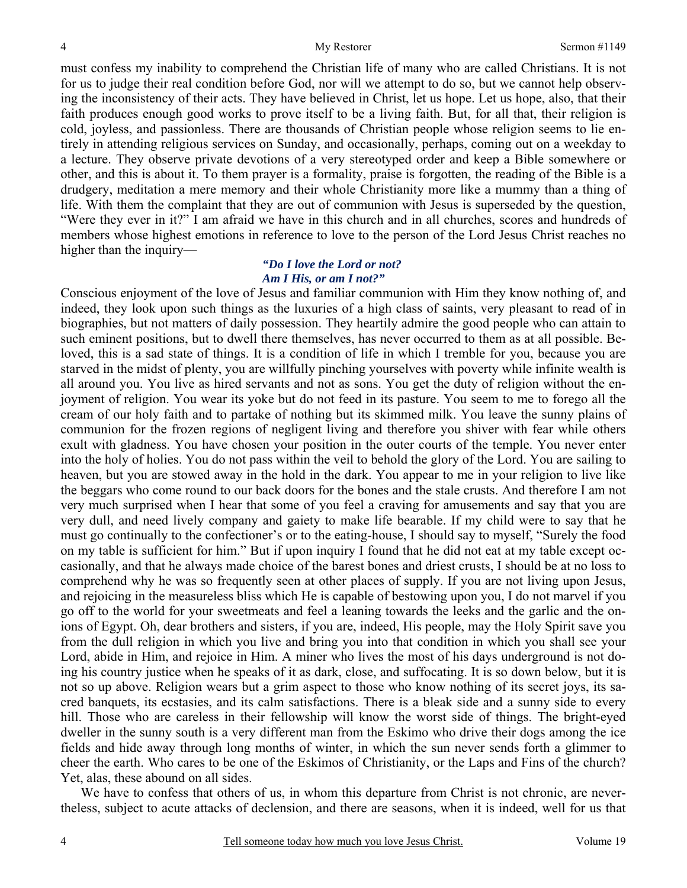must confess my inability to comprehend the Christian life of many who are called Christians. It is not for us to judge their real condition before God, nor will we attempt to do so, but we cannot help observing the inconsistency of their acts. They have believed in Christ, let us hope. Let us hope, also, that their faith produces enough good works to prove itself to be a living faith. But, for all that, their religion is cold, joyless, and passionless. There are thousands of Christian people whose religion seems to lie entirely in attending religious services on Sunday, and occasionally, perhaps, coming out on a weekday to a lecture. They observe private devotions of a very stereotyped order and keep a Bible somewhere or other, and this is about it. To them prayer is a formality, praise is forgotten, the reading of the Bible is a drudgery, meditation a mere memory and their whole Christianity more like a mummy than a thing of life. With them the complaint that they are out of communion with Jesus is superseded by the question, "Were they ever in it?" I am afraid we have in this church and in all churches, scores and hundreds of members whose highest emotions in reference to love to the person of the Lord Jesus Christ reaches no higher than the inquiry—

### *"Do I love the Lord or not? Am I His, or am I not?"*

Conscious enjoyment of the love of Jesus and familiar communion with Him they know nothing of, and indeed, they look upon such things as the luxuries of a high class of saints, very pleasant to read of in biographies, but not matters of daily possession. They heartily admire the good people who can attain to such eminent positions, but to dwell there themselves, has never occurred to them as at all possible. Beloved, this is a sad state of things. It is a condition of life in which I tremble for you, because you are starved in the midst of plenty, you are willfully pinching yourselves with poverty while infinite wealth is all around you. You live as hired servants and not as sons. You get the duty of religion without the enjoyment of religion. You wear its yoke but do not feed in its pasture. You seem to me to forego all the cream of our holy faith and to partake of nothing but its skimmed milk. You leave the sunny plains of communion for the frozen regions of negligent living and therefore you shiver with fear while others exult with gladness. You have chosen your position in the outer courts of the temple. You never enter into the holy of holies. You do not pass within the veil to behold the glory of the Lord. You are sailing to heaven, but you are stowed away in the hold in the dark. You appear to me in your religion to live like the beggars who come round to our back doors for the bones and the stale crusts. And therefore I am not very much surprised when I hear that some of you feel a craving for amusements and say that you are very dull, and need lively company and gaiety to make life bearable. If my child were to say that he must go continually to the confectioner's or to the eating-house, I should say to myself, "Surely the food on my table is sufficient for him." But if upon inquiry I found that he did not eat at my table except occasionally, and that he always made choice of the barest bones and driest crusts, I should be at no loss to comprehend why he was so frequently seen at other places of supply. If you are not living upon Jesus, and rejoicing in the measureless bliss which He is capable of bestowing upon you, I do not marvel if you go off to the world for your sweetmeats and feel a leaning towards the leeks and the garlic and the onions of Egypt. Oh, dear brothers and sisters, if you are, indeed, His people, may the Holy Spirit save you from the dull religion in which you live and bring you into that condition in which you shall see your Lord, abide in Him, and rejoice in Him. A miner who lives the most of his days underground is not doing his country justice when he speaks of it as dark, close, and suffocating. It is so down below, but it is not so up above. Religion wears but a grim aspect to those who know nothing of its secret joys, its sacred banquets, its ecstasies, and its calm satisfactions. There is a bleak side and a sunny side to every hill. Those who are careless in their fellowship will know the worst side of things. The bright-eyed dweller in the sunny south is a very different man from the Eskimo who drive their dogs among the ice fields and hide away through long months of winter, in which the sun never sends forth a glimmer to cheer the earth. Who cares to be one of the Eskimos of Christianity, or the Laps and Fins of the church? Yet, alas, these abound on all sides.

We have to confess that others of us, in whom this departure from Christ is not chronic, are nevertheless, subject to acute attacks of declension, and there are seasons, when it is indeed, well for us that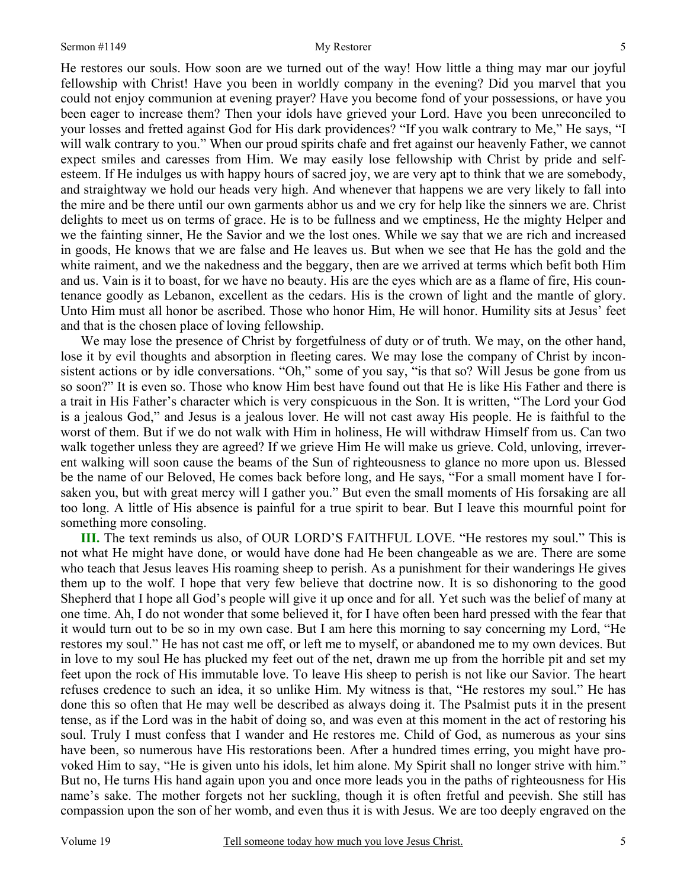He restores our souls. How soon are we turned out of the way! How little a thing may mar our joyful fellowship with Christ! Have you been in worldly company in the evening? Did you marvel that you could not enjoy communion at evening prayer? Have you become fond of your possessions, or have you been eager to increase them? Then your idols have grieved your Lord. Have you been unreconciled to your losses and fretted against God for His dark providences? "If you walk contrary to Me," He says, "I will walk contrary to you." When our proud spirits chafe and fret against our heavenly Father, we cannot expect smiles and caresses from Him. We may easily lose fellowship with Christ by pride and selfesteem. If He indulges us with happy hours of sacred joy, we are very apt to think that we are somebody, and straightway we hold our heads very high. And whenever that happens we are very likely to fall into the mire and be there until our own garments abhor us and we cry for help like the sinners we are. Christ delights to meet us on terms of grace. He is to be fullness and we emptiness, He the mighty Helper and we the fainting sinner, He the Savior and we the lost ones. While we say that we are rich and increased in goods, He knows that we are false and He leaves us. But when we see that He has the gold and the white raiment, and we the nakedness and the beggary, then are we arrived at terms which befit both Him and us. Vain is it to boast, for we have no beauty. His are the eyes which are as a flame of fire, His countenance goodly as Lebanon, excellent as the cedars. His is the crown of light and the mantle of glory. Unto Him must all honor be ascribed. Those who honor Him, He will honor. Humility sits at Jesus' feet and that is the chosen place of loving fellowship.

We may lose the presence of Christ by forgetfulness of duty or of truth. We may, on the other hand, lose it by evil thoughts and absorption in fleeting cares. We may lose the company of Christ by inconsistent actions or by idle conversations. "Oh," some of you say, "is that so? Will Jesus be gone from us so soon?" It is even so. Those who know Him best have found out that He is like His Father and there is a trait in His Father's character which is very conspicuous in the Son. It is written, "The Lord your God is a jealous God," and Jesus is a jealous lover. He will not cast away His people. He is faithful to the worst of them. But if we do not walk with Him in holiness, He will withdraw Himself from us. Can two walk together unless they are agreed? If we grieve Him He will make us grieve. Cold, unloving, irreverent walking will soon cause the beams of the Sun of righteousness to glance no more upon us. Blessed be the name of our Beloved, He comes back before long, and He says, "For a small moment have I forsaken you, but with great mercy will I gather you." But even the small moments of His forsaking are all too long. A little of His absence is painful for a true spirit to bear. But I leave this mournful point for something more consoling.

**III.** The text reminds us also, of OUR LORD'S FAITHFUL LOVE. "He restores my soul." This is not what He might have done, or would have done had He been changeable as we are. There are some who teach that Jesus leaves His roaming sheep to perish. As a punishment for their wanderings He gives them up to the wolf. I hope that very few believe that doctrine now. It is so dishonoring to the good Shepherd that I hope all God's people will give it up once and for all. Yet such was the belief of many at one time. Ah, I do not wonder that some believed it, for I have often been hard pressed with the fear that it would turn out to be so in my own case. But I am here this morning to say concerning my Lord, "He restores my soul." He has not cast me off, or left me to myself, or abandoned me to my own devices. But in love to my soul He has plucked my feet out of the net, drawn me up from the horrible pit and set my feet upon the rock of His immutable love. To leave His sheep to perish is not like our Savior. The heart refuses credence to such an idea, it so unlike Him. My witness is that, "He restores my soul." He has done this so often that He may well be described as always doing it. The Psalmist puts it in the present tense, as if the Lord was in the habit of doing so, and was even at this moment in the act of restoring his soul. Truly I must confess that I wander and He restores me. Child of God, as numerous as your sins have been, so numerous have His restorations been. After a hundred times erring, you might have provoked Him to say, "He is given unto his idols, let him alone. My Spirit shall no longer strive with him." But no, He turns His hand again upon you and once more leads you in the paths of righteousness for His name's sake. The mother forgets not her suckling, though it is often fretful and peevish. She still has compassion upon the son of her womb, and even thus it is with Jesus. We are too deeply engraved on the

5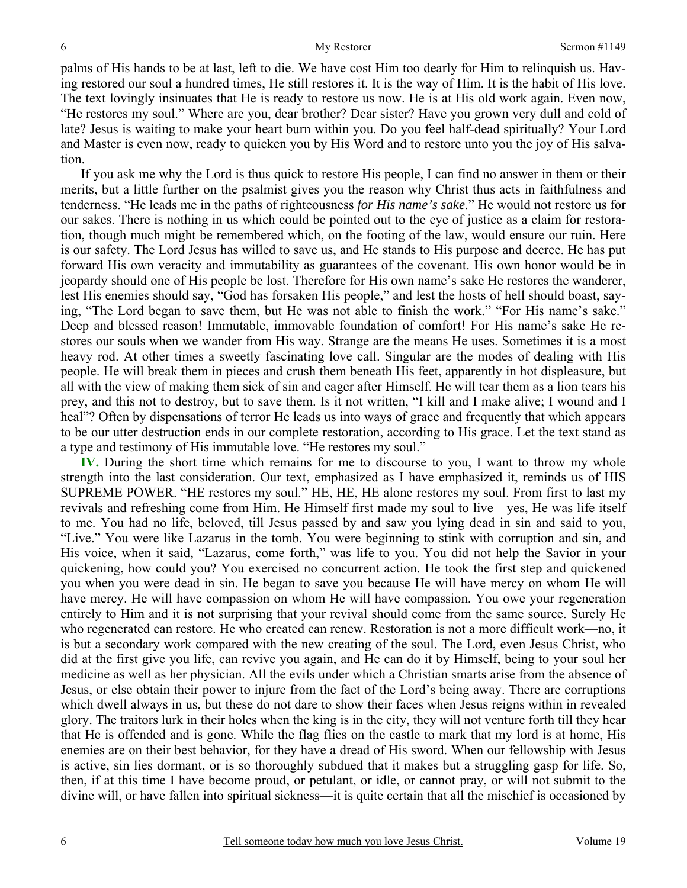palms of His hands to be at last, left to die. We have cost Him too dearly for Him to relinquish us. Having restored our soul a hundred times, He still restores it. It is the way of Him. It is the habit of His love. The text lovingly insinuates that He is ready to restore us now. He is at His old work again. Even now, "He restores my soul." Where are you, dear brother? Dear sister? Have you grown very dull and cold of late? Jesus is waiting to make your heart burn within you. Do you feel half-dead spiritually? Your Lord and Master is even now, ready to quicken you by His Word and to restore unto you the joy of His salvation.

If you ask me why the Lord is thus quick to restore His people, I can find no answer in them or their merits, but a little further on the psalmist gives you the reason why Christ thus acts in faithfulness and tenderness. "He leads me in the paths of righteousness *for His name's sake*." He would not restore us for our sakes. There is nothing in us which could be pointed out to the eye of justice as a claim for restoration, though much might be remembered which, on the footing of the law, would ensure our ruin. Here is our safety. The Lord Jesus has willed to save us, and He stands to His purpose and decree. He has put forward His own veracity and immutability as guarantees of the covenant. His own honor would be in jeopardy should one of His people be lost. Therefore for His own name's sake He restores the wanderer, lest His enemies should say, "God has forsaken His people," and lest the hosts of hell should boast, saying, "The Lord began to save them, but He was not able to finish the work." "For His name's sake." Deep and blessed reason! Immutable, immovable foundation of comfort! For His name's sake He restores our souls when we wander from His way. Strange are the means He uses. Sometimes it is a most heavy rod. At other times a sweetly fascinating love call. Singular are the modes of dealing with His people. He will break them in pieces and crush them beneath His feet, apparently in hot displeasure, but all with the view of making them sick of sin and eager after Himself. He will tear them as a lion tears his prey, and this not to destroy, but to save them. Is it not written, "I kill and I make alive; I wound and I heal"? Often by dispensations of terror He leads us into ways of grace and frequently that which appears to be our utter destruction ends in our complete restoration, according to His grace. Let the text stand as a type and testimony of His immutable love. "He restores my soul."

**IV.** During the short time which remains for me to discourse to you, I want to throw my whole strength into the last consideration. Our text, emphasized as I have emphasized it, reminds us of HIS SUPREME POWER. "HE restores my soul." HE, HE, HE alone restores my soul. From first to last my revivals and refreshing come from Him. He Himself first made my soul to live—yes, He was life itself to me. You had no life, beloved, till Jesus passed by and saw you lying dead in sin and said to you, "Live." You were like Lazarus in the tomb. You were beginning to stink with corruption and sin, and His voice, when it said, "Lazarus, come forth," was life to you. You did not help the Savior in your quickening, how could you? You exercised no concurrent action. He took the first step and quickened you when you were dead in sin. He began to save you because He will have mercy on whom He will have mercy. He will have compassion on whom He will have compassion. You owe your regeneration entirely to Him and it is not surprising that your revival should come from the same source. Surely He who regenerated can restore. He who created can renew. Restoration is not a more difficult work—no, it is but a secondary work compared with the new creating of the soul. The Lord, even Jesus Christ, who did at the first give you life, can revive you again, and He can do it by Himself, being to your soul her medicine as well as her physician. All the evils under which a Christian smarts arise from the absence of Jesus, or else obtain their power to injure from the fact of the Lord's being away. There are corruptions which dwell always in us, but these do not dare to show their faces when Jesus reigns within in revealed glory. The traitors lurk in their holes when the king is in the city, they will not venture forth till they hear that He is offended and is gone. While the flag flies on the castle to mark that my lord is at home, His enemies are on their best behavior, for they have a dread of His sword. When our fellowship with Jesus is active, sin lies dormant, or is so thoroughly subdued that it makes but a struggling gasp for life. So, then, if at this time I have become proud, or petulant, or idle, or cannot pray, or will not submit to the divine will, or have fallen into spiritual sickness—it is quite certain that all the mischief is occasioned by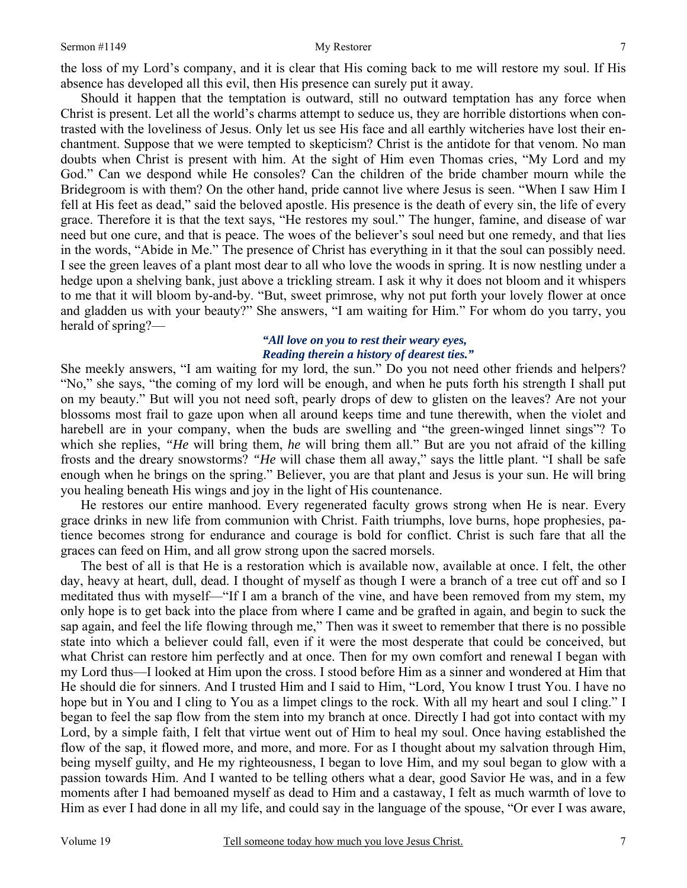the loss of my Lord's company, and it is clear that His coming back to me will restore my soul. If His absence has developed all this evil, then His presence can surely put it away.

Should it happen that the temptation is outward, still no outward temptation has any force when Christ is present. Let all the world's charms attempt to seduce us, they are horrible distortions when contrasted with the loveliness of Jesus. Only let us see His face and all earthly witcheries have lost their enchantment. Suppose that we were tempted to skepticism? Christ is the antidote for that venom. No man doubts when Christ is present with him. At the sight of Him even Thomas cries, "My Lord and my God." Can we despond while He consoles? Can the children of the bride chamber mourn while the Bridegroom is with them? On the other hand, pride cannot live where Jesus is seen. "When I saw Him I fell at His feet as dead," said the beloved apostle. His presence is the death of every sin, the life of every grace. Therefore it is that the text says, "He restores my soul." The hunger, famine, and disease of war need but one cure, and that is peace. The woes of the believer's soul need but one remedy, and that lies in the words, "Abide in Me." The presence of Christ has everything in it that the soul can possibly need. I see the green leaves of a plant most dear to all who love the woods in spring. It is now nestling under a hedge upon a shelving bank, just above a trickling stream. I ask it why it does not bloom and it whispers to me that it will bloom by-and-by. "But, sweet primrose, why not put forth your lovely flower at once and gladden us with your beauty?" She answers, "I am waiting for Him." For whom do you tarry, you herald of spring?—

# *"All love on you to rest their weary eyes, Reading therein a history of dearest ties."*

She meekly answers, "I am waiting for my lord, the sun." Do you not need other friends and helpers? "No," she says, "the coming of my lord will be enough, and when he puts forth his strength I shall put on my beauty." But will you not need soft, pearly drops of dew to glisten on the leaves? Are not your blossoms most frail to gaze upon when all around keeps time and tune therewith, when the violet and harebell are in your company, when the buds are swelling and "the green-winged linnet sings"? To which she replies, *"He* will bring them, *he* will bring them all." But are you not afraid of the killing frosts and the dreary snowstorms? *"He* will chase them all away," says the little plant. "I shall be safe enough when he brings on the spring." Believer, you are that plant and Jesus is your sun. He will bring you healing beneath His wings and joy in the light of His countenance.

 He restores our entire manhood. Every regenerated faculty grows strong when He is near. Every grace drinks in new life from communion with Christ. Faith triumphs, love burns, hope prophesies, patience becomes strong for endurance and courage is bold for conflict. Christ is such fare that all the graces can feed on Him, and all grow strong upon the sacred morsels.

 The best of all is that He is a restoration which is available now, available at once. I felt, the other day, heavy at heart, dull, dead. I thought of myself as though I were a branch of a tree cut off and so I meditated thus with myself—"If I am a branch of the vine, and have been removed from my stem, my only hope is to get back into the place from where I came and be grafted in again, and begin to suck the sap again, and feel the life flowing through me," Then was it sweet to remember that there is no possible state into which a believer could fall, even if it were the most desperate that could be conceived, but what Christ can restore him perfectly and at once. Then for my own comfort and renewal I began with my Lord thus—I looked at Him upon the cross. I stood before Him as a sinner and wondered at Him that He should die for sinners. And I trusted Him and I said to Him, "Lord, You know I trust You. I have no hope but in You and I cling to You as a limpet clings to the rock. With all my heart and soul I cling." I began to feel the sap flow from the stem into my branch at once. Directly I had got into contact with my Lord, by a simple faith, I felt that virtue went out of Him to heal my soul. Once having established the flow of the sap, it flowed more, and more, and more. For as I thought about my salvation through Him, being myself guilty, and He my righteousness, I began to love Him, and my soul began to glow with a passion towards Him. And I wanted to be telling others what a dear, good Savior He was, and in a few moments after I had bemoaned myself as dead to Him and a castaway, I felt as much warmth of love to Him as ever I had done in all my life, and could say in the language of the spouse, "Or ever I was aware,